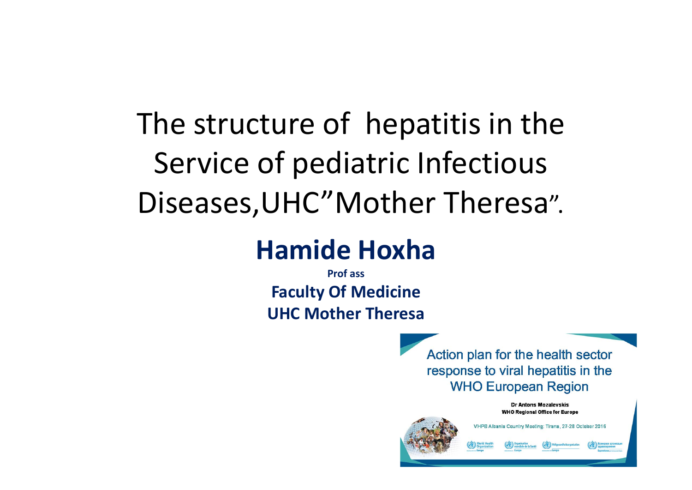## The structure of hepatitis in the Service of pediatric Infectious Diseases,UHC"Mother Theresa".

#### **Hamide Hoxha**

**Prof assFaculty Of Medicine UHC Mother Theresa**

> Action plan for the health sector response to viral hepatitis in the **WHO European Region**

Dr Antons Mozalevskis **WHO Regional Office for Europe** VHPB Albania Country Meeting: Tirana, 27-28 October 2016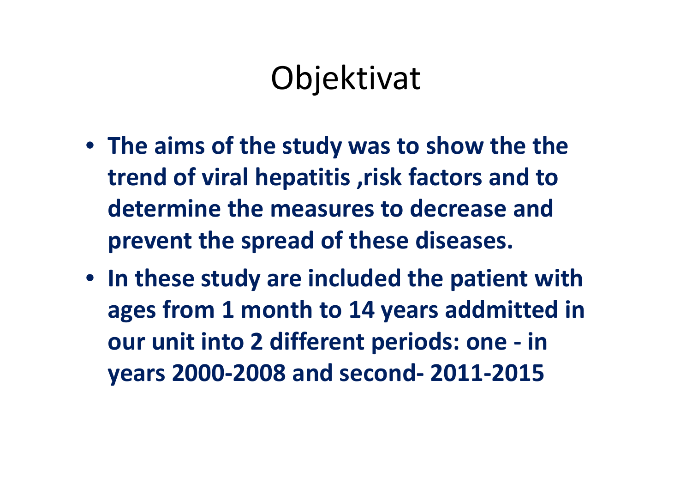## Objektivat

- **The aims of the study was to show the the trend of viral hepatitis ,risk factors and to determine the measures to decrease and prevent the spread of these diseases.**
- **In these study are included the patient with ages from 1 month to 14 years addmitted in our unit into 2 different periods: one ‐ in years 2000‐2008 and second‐ 2011‐2015**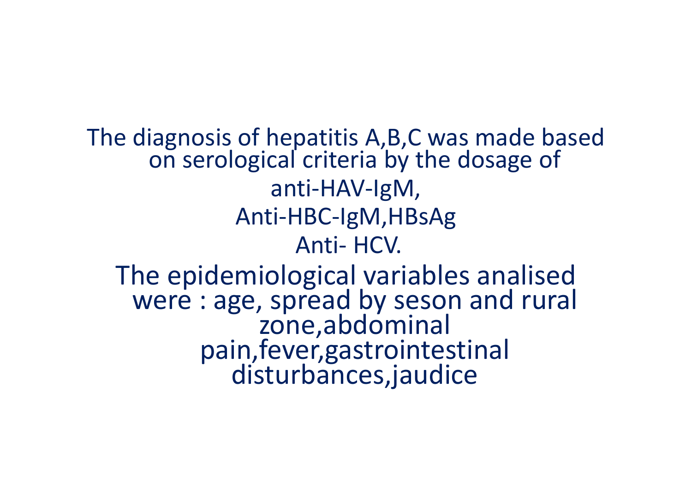The diagnosis of hepatitis A,B,C was made based on serological criteria by the dosage of anti ‐HAV ‐IgM, Anti ‐HBC ‐IgM,HBsAg Anti‐ HCV. The epidemiological variables analised were : age, spread by seson and rural zone,abdominal pain,fever,gastrointestinal disturbances,jaudice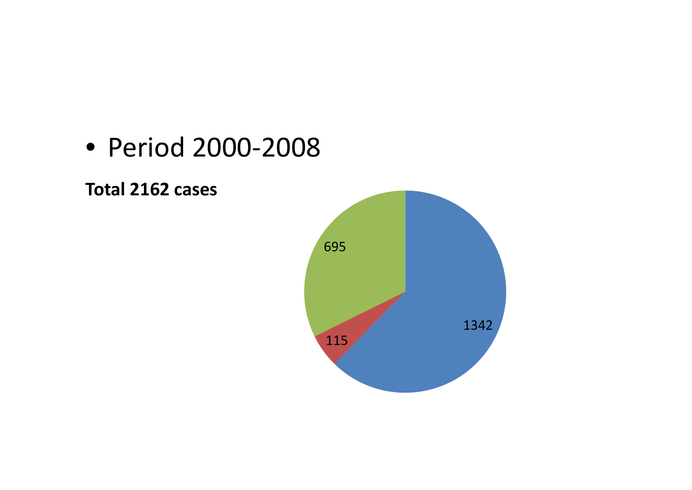

**Total 2162 cases**

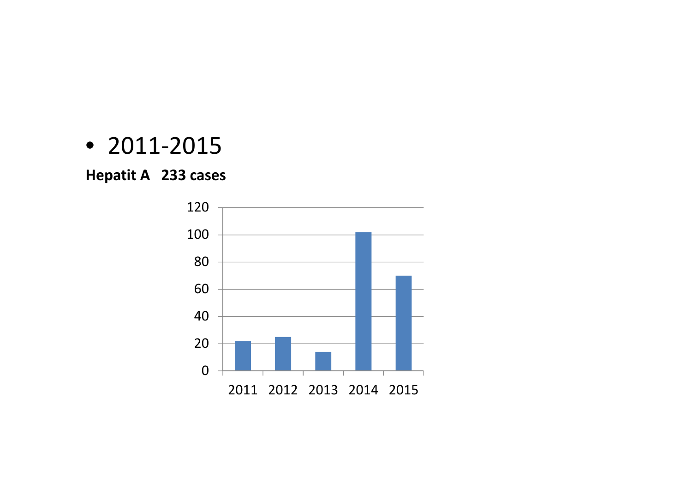#### • 2011‐2015

#### **Hepatit A 233 cases**

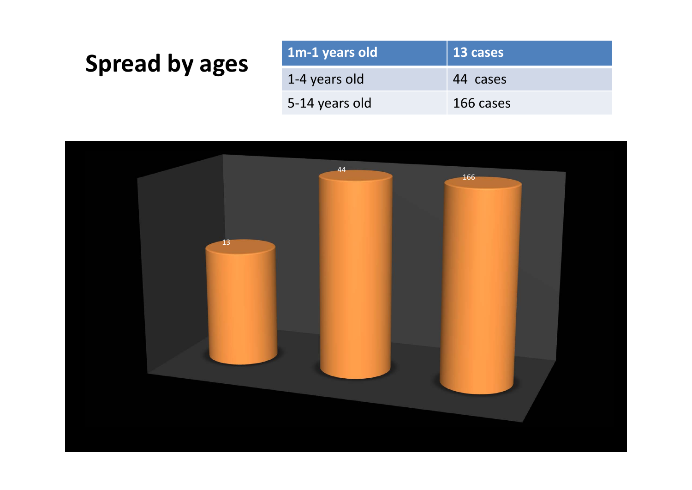#### **Spread** by ages

| 1m-1 years old | $\vert$ 13 cases |
|----------------|------------------|
| 1-4 years old  | 44 cases         |
| 5-14 years old | 166 cases        |

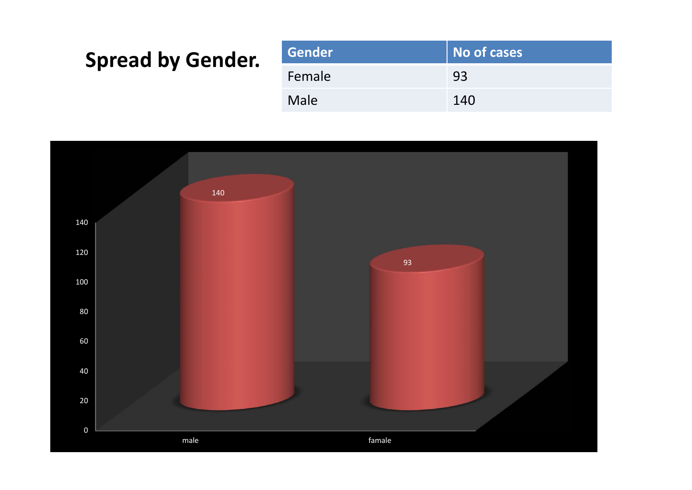#### **Spread by Gender.**

| Gender | No of cases |
|--------|-------------|
| Female | 93          |
| Male   | 140         |

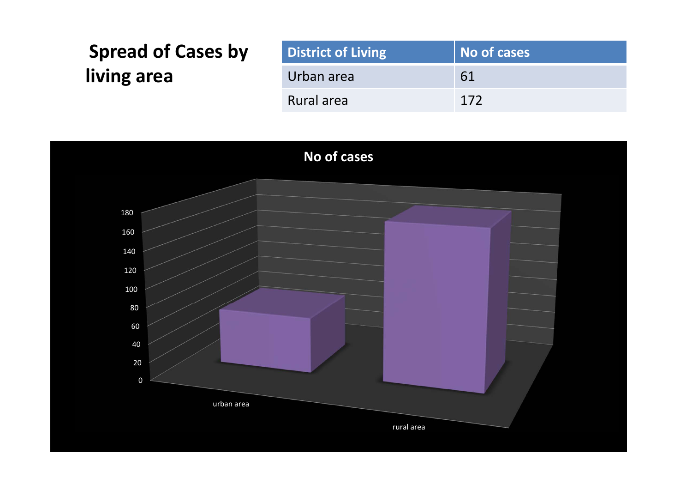| <b>Spread of Cases by</b> | <b>District of Living</b> | No of cases |
|---------------------------|---------------------------|-------------|
| living area               | Urban area                | 61          |
|                           | Rural area                | 172         |

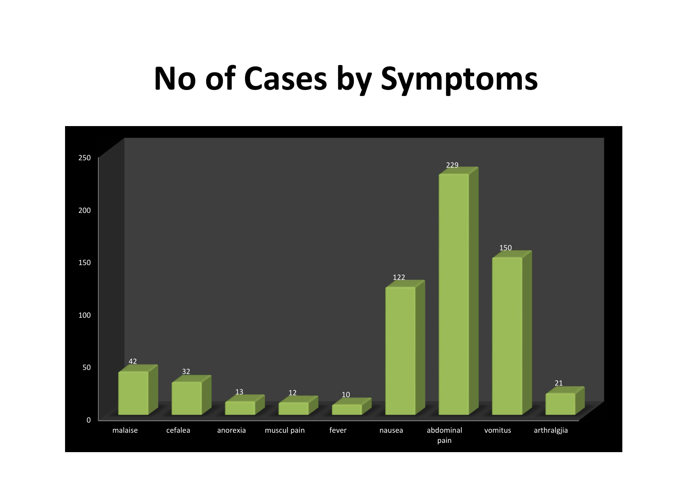#### **No of Cases by Symptoms**

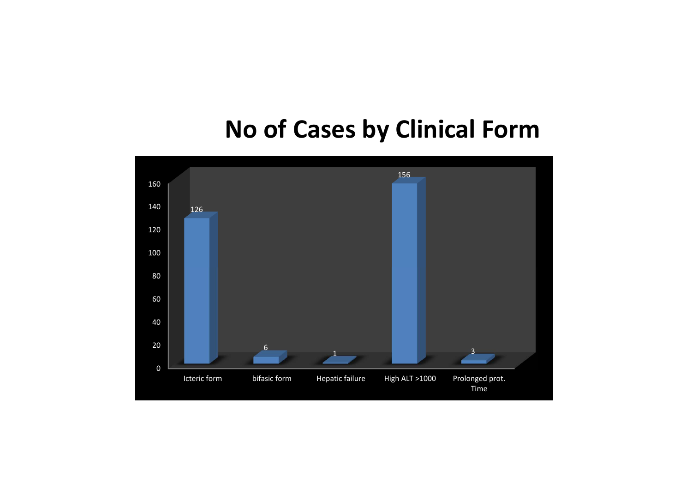#### **No of Cases by Clinical Form**

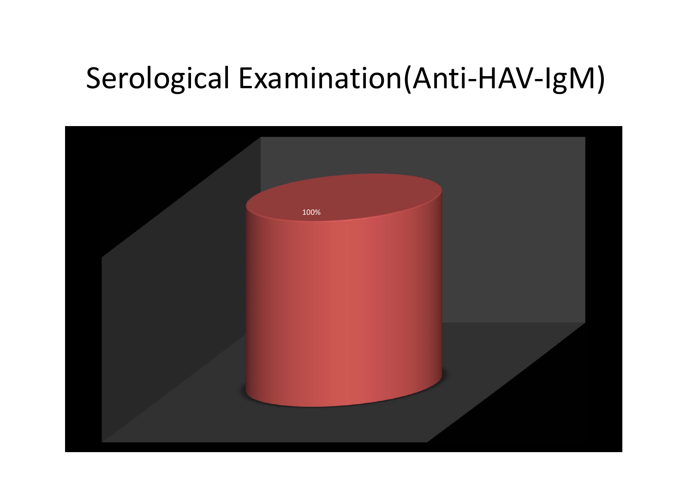#### Serological Examination(Anti-HAV-IgM)

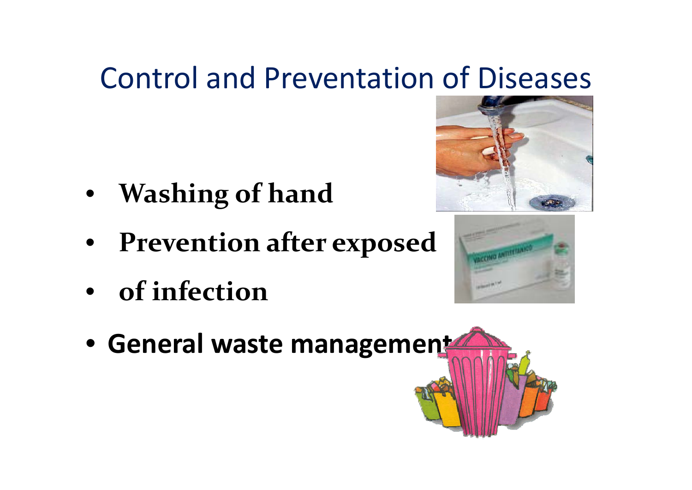#### Control and Preventation of Diseases

- **Washing of hand**
- **Prevention after exposed**
- **of infection**





• **General waste management**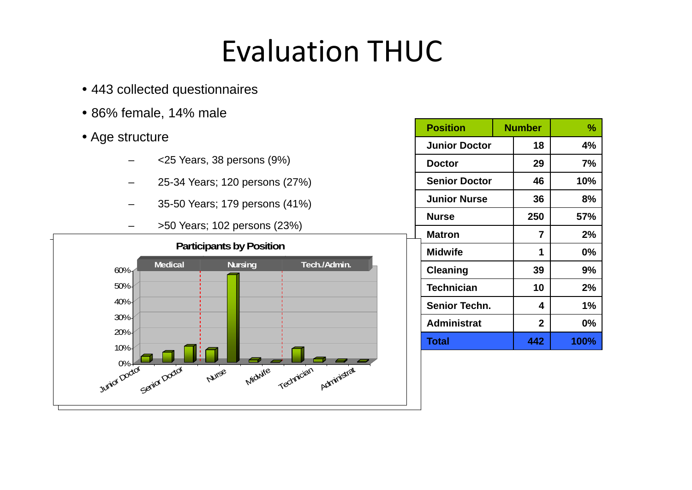#### Evaluation THUC

- 443 collected questionnaires
- 86% female, 14% male
- Age structure
	- <25 Years, 38 persons (9%)
	- 25-34 Years; 120 persons (27%)
	- –35-50 Years; 179 persons (41%)
	- –>50 Years; 102 persons (23%)



| <b>Position</b>      | <b>Number</b> |                | %    |
|----------------------|---------------|----------------|------|
| <b>Junior Doctor</b> |               | 18             | 4%   |
| <b>Doctor</b>        |               | 29             | 7%   |
| <b>Senior Doctor</b> |               | 46             | 10%  |
| <b>Junior Nurse</b>  |               | 36             | 8%   |
| <b>Nurse</b>         |               | 250            | 57%  |
| <b>Matron</b>        |               | $\overline{7}$ | 2%   |
| <b>Midwife</b>       |               | 1              | 0%   |
| Cleaning             |               | 39             | 9%   |
| <b>Technician</b>    |               | 10             | 2%   |
| <b>Senior Techn.</b> |               | 4              | 1%   |
| <b>Administrat</b>   |               | $\overline{2}$ | 0%   |
| <b>Total</b>         |               | 442            | 100% |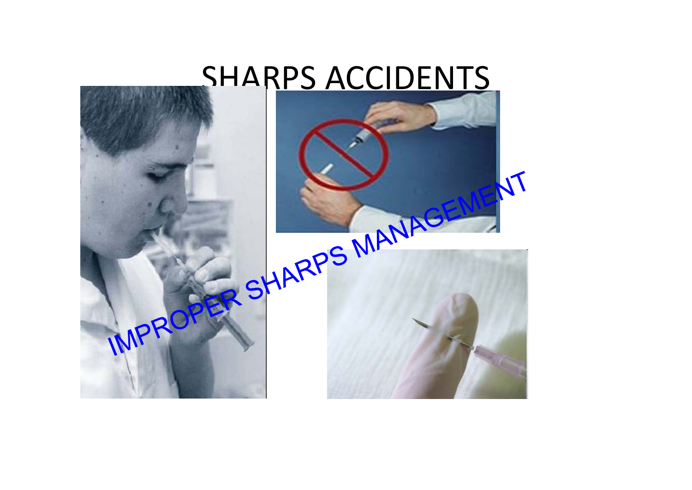#### SHARPS ACCIDENTS

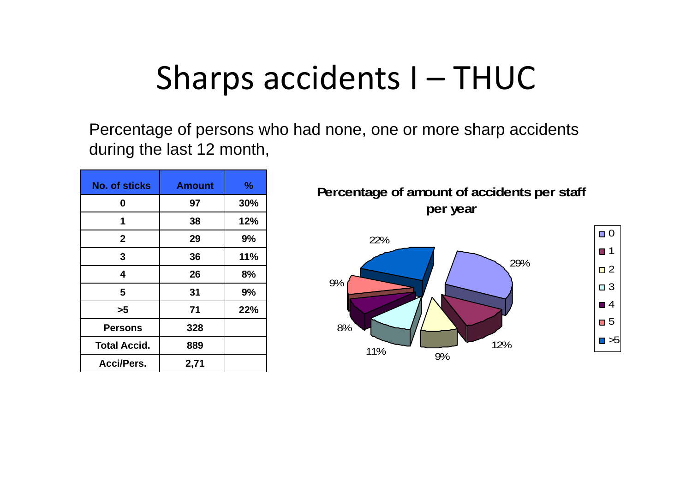#### Sharps accidents I – THUC

Percentage of persons who had none, one or more sharp accidents during the last 12 month,

| <b>No. of sticks</b> | <b>Amount</b> | $\frac{9}{6}$ |
|----------------------|---------------|---------------|
| 0                    | 97            | 30%           |
| 1                    | 38            | 12%           |
| $\mathbf{2}$         | 29            | 9%            |
| 3                    | 36            | 11%           |
| 4                    | 26            | 8%            |
| 5                    | 31            | 9%            |
| >5                   | 71            | 22%           |
| <b>Persons</b>       | 328           |               |
| <b>Total Accid.</b>  | 889           |               |
| <b>Acci/Pers.</b>    | 2,71          |               |

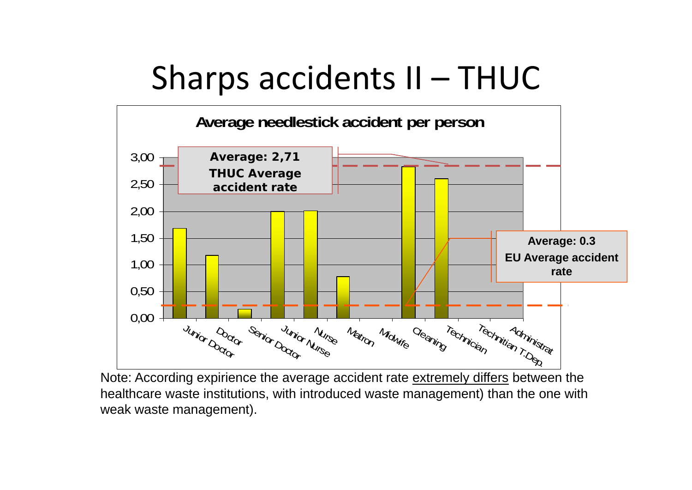### Sharps accidents II – THUC



Note: According expirience the average accident rate extremely differs between the healthcare waste institutions, with introduced waste management) than the one with weak waste management).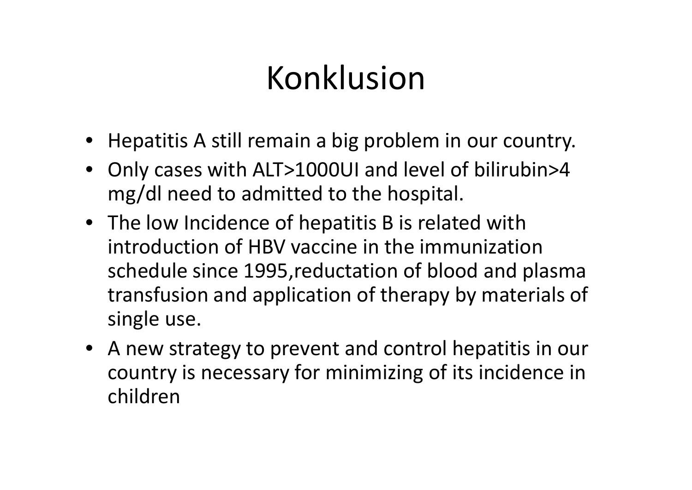## Konklusion

- Hepatitis A still remain <sup>a</sup> big problem in our country.
- Only cases with ALT>1000UI and level of bilirubin>4 mg/dl need to admitted to the hospital.
- The low Incidence of hepatitis B is related with introduction of HBV vaccine in the immunization schedule since 1995,reductation of blood and plasma transfusion and application of therapy by materials of single use.
- A new strategy to prevent and control hepatitis in our country is necessary for minimizing of its incidence in children